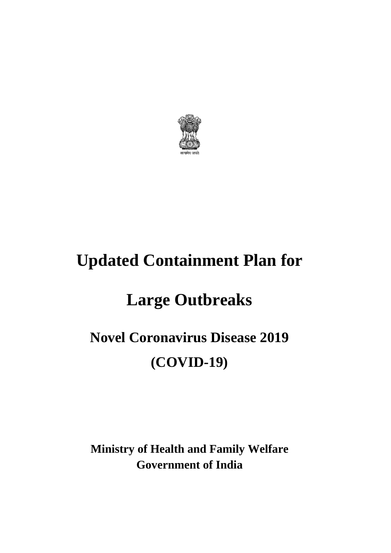

# **Updated Containment Plan for**

# **Large Outbreaks**

# **Novel Coronavirus Disease 2019 (COVID-19)**

**Ministry of Health and Family Welfare Government of India**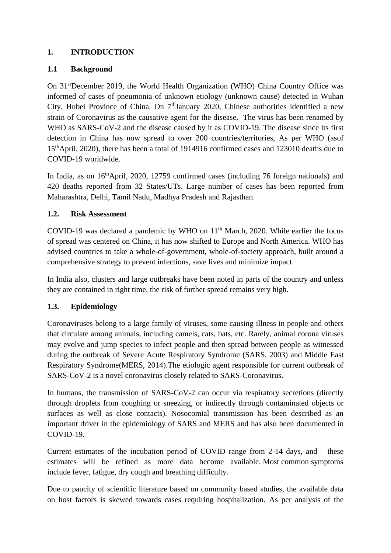# **1. INTRODUCTION**

# **1.1 Background**

On 31stDecember 2019, the World Health Organization (WHO) China Country Office was informed of cases of pneumonia of unknown etiology (unknown cause) detected in Wuhan City, Hubei Province of China. On 7<sup>th</sup>January 2020, Chinese authorities identified a new strain of Coronavirus as the causative agent for the disease. The virus has been renamed by WHO as SARS-CoV-2 and the disease caused by it as COVID-19. The disease since its first detection in China has now spread to over 200 countries/territories, As per WHO (asof 15thApril, 2020), there has been a total of 1914916 confirmed cases and 123010 deaths due to COVID-19 worldwide.

In India, as on 16<sup>th</sup>April, 2020, 12759 confirmed cases (including 76 foreign nationals) and 420 deaths reported from 32 States/UTs. Large number of cases has been reported from Maharashtra, Delhi, Tamil Nadu, Madhya Pradesh and Rajasthan.

#### **1.2. Risk Assessment**

COVID-19 was declared a pandemic by WHO on  $11<sup>th</sup>$  March, 2020. While earlier the focus of spread was centered on China, it has now shifted to Europe and North America. WHO has advised countries to take a whole-of-government, whole-of-society approach, built around a comprehensive strategy to prevent infections, save lives and minimize impact.

In India also, clusters and large outbreaks have been noted in parts of the country and unless they are contained in right time, the risk of further spread remains very high.

# **1.3. Epidemiology**

Coronaviruses belong to a large family of viruses, some causing illness in people and others that circulate among animals, including camels, cats, bats, etc. Rarely, animal corona viruses may evolve and jump species to infect people and then spread between people as witnessed during the outbreak of Severe Acute Respiratory Syndrome (SARS, 2003) and Middle East Respiratory Syndrome(MERS, 2014).The etiologic agent responsible for current outbreak of SARS-CoV-2 is a novel coronavirus closely related to SARS-Coronavirus.

In humans, the transmission of SARS-CoV-2 can occur via respiratory secretions (directly through droplets from coughing or sneezing, or indirectly through contaminated objects or surfaces as well as close contacts). Nosocomial transmission has been described as an important driver in the epidemiology of SARS and MERS and has also been documented in COVID-19.

Current estimates of the incubation period of COVID range from 2-14 days, and these estimates will be refined as more data become available. Most common symptoms include fever, fatigue, dry cough and breathing difficulty.

Due to paucity of scientific literature based on community based studies, the available data on host factors is skewed towards cases requiring hospitalization. As per analysis of the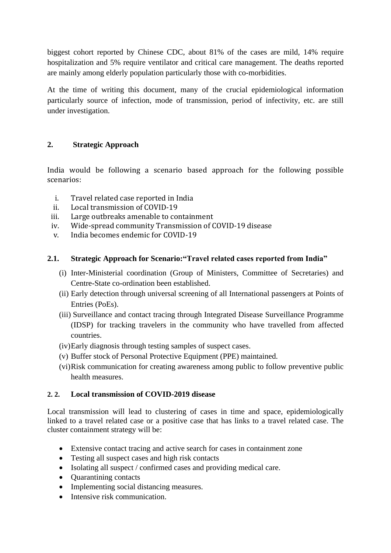biggest cohort reported by Chinese CDC, about 81% of the cases are mild, 14% require hospitalization and 5% require ventilator and critical care management. The deaths reported are mainly among elderly population particularly those with co-morbidities.

At the time of writing this document, many of the crucial epidemiological information particularly source of infection, mode of transmission, period of infectivity, etc. are still under investigation.

# **2. Strategic Approach**

India would be following a scenario based approach for the following possible scenarios:

- i. Travel related case reported in India
- ii. Local transmission of COVID-19
- iii. Large outbreaks amenable to containment
- iv. Wide-spread community Transmission of COVID-19 disease
- v. India becomes endemic for COVID-19

#### **2.1. Strategic Approach for Scenario:"Travel related cases reported from India"**

- (i) Inter-Ministerial coordination (Group of Ministers, Committee of Secretaries) and Centre-State co-ordination been established.
- (ii) Early detection through universal screening of all International passengers at Points of Entries (PoEs).
- (iii) Surveillance and contact tracing through Integrated Disease Surveillance Programme (IDSP) for tracking travelers in the community who have travelled from affected countries.
- (iv)Early diagnosis through testing samples of suspect cases.
- (v) Buffer stock of Personal Protective Equipment (PPE) maintained.
- (vi)Risk communication for creating awareness among public to follow preventive public health measures.

#### **2. 2. Local transmission of COVID-2019 disease**

Local transmission will lead to clustering of cases in time and space, epidemiologically linked to a travel related case or a positive case that has links to a travel related case. The cluster containment strategy will be:

- Extensive contact tracing and active search for cases in containment zone
- Testing all suspect cases and high risk contacts
- Isolating all suspect / confirmed cases and providing medical care.
- Quarantining contacts
- Implementing social distancing measures.
- Intensive risk communication.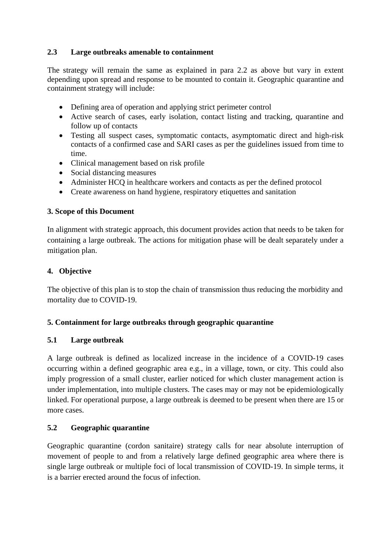# **2.3 Large outbreaks amenable to containment**

The strategy will remain the same as explained in para 2.2 as above but vary in extent depending upon spread and response to be mounted to contain it. Geographic quarantine and containment strategy will include:

- Defining area of operation and applying strict perimeter control
- Active search of cases, early isolation, contact listing and tracking, quarantine and follow up of contacts
- Testing all suspect cases, symptomatic contacts, asymptomatic direct and high-risk contacts of a confirmed case and SARI cases as per the guidelines issued from time to time.
- Clinical management based on risk profile
- Social distancing measures
- Administer HCQ in healthcare workers and contacts as per the defined protocol
- Create awareness on hand hygiene, respiratory etiquettes and sanitation

#### **3. Scope of this Document**

In alignment with strategic approach, this document provides action that needs to be taken for containing a large outbreak. The actions for mitigation phase will be dealt separately under a mitigation plan.

#### **4. Objective**

The objective of this plan is to stop the chain of transmission thus reducing the morbidity and mortality due to COVID-19.

#### **5. Containment for large outbreaks through geographic quarantine**

#### **5.1 Large outbreak**

A large outbreak is defined as localized increase in the incidence of a COVID-19 cases occurring within a defined geographic area e.g., in a village, town, or city. This could also imply progression of a small cluster, earlier noticed for which cluster management action is under implementation, into multiple clusters. The cases may or may not be epidemiologically linked. For operational purpose, a large outbreak is deemed to be present when there are 15 or more cases.

#### **5.2 Geographic quarantine**

Geographic quarantine (cordon sanitaire) strategy calls for near absolute interruption of movement of people to and from a relatively large defined geographic area where there is single large outbreak or multiple foci of local transmission of COVID-19. In simple terms, it is a barrier erected around the focus of infection.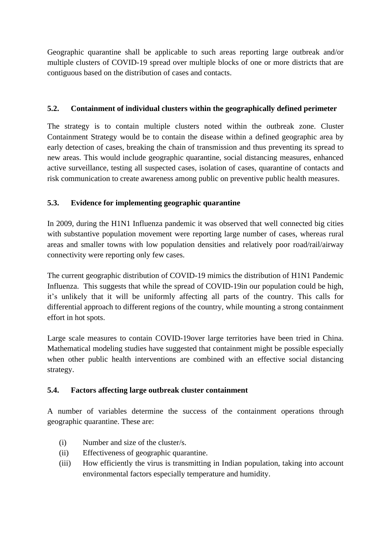Geographic quarantine shall be applicable to such areas reporting large outbreak and/or multiple clusters of COVID-19 spread over multiple blocks of one or more districts that are contiguous based on the distribution of cases and contacts.

# **5.2. Containment of individual clusters within the geographically defined perimeter**

The strategy is to contain multiple clusters noted within the outbreak zone. Cluster Containment Strategy would be to contain the disease within a defined geographic area by early detection of cases, breaking the chain of transmission and thus preventing its spread to new areas. This would include geographic quarantine, social distancing measures, enhanced active surveillance, testing all suspected cases, isolation of cases, quarantine of contacts and risk communication to create awareness among public on preventive public health measures.

# **5.3. Evidence for implementing geographic quarantine**

In 2009, during the H1N1 Influenza pandemic it was observed that well connected big cities with substantive population movement were reporting large number of cases, whereas rural areas and smaller towns with low population densities and relatively poor road/rail/airway connectivity were reporting only few cases.

The current geographic distribution of COVID-19 mimics the distribution of H1N1 Pandemic Influenza. This suggests that while the spread of COVID-19in our population could be high, it's unlikely that it will be uniformly affecting all parts of the country. This calls for differential approach to different regions of the country, while mounting a strong containment effort in hot spots.

Large scale measures to contain COVID-19over large territories have been tried in China. Mathematical modeling studies have suggested that containment might be possible especially when other public health interventions are combined with an effective social distancing strategy.

#### **5.4. Factors affecting large outbreak cluster containment**

A number of variables determine the success of the containment operations through geographic quarantine. These are:

- (i) Number and size of the cluster/s.
- (ii) Effectiveness of geographic quarantine.
- (iii) How efficiently the virus is transmitting in Indian population, taking into account environmental factors especially temperature and humidity.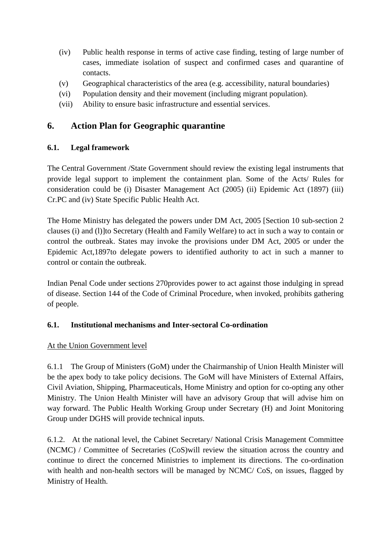- (iv) Public health response in terms of active case finding, testing of large number of cases, immediate isolation of suspect and confirmed cases and quarantine of contacts.
- (v) Geographical characteristics of the area (e.g. accessibility, natural boundaries)
- (vi) Population density and their movement (including migrant population).
- (vii) Ability to ensure basic infrastructure and essential services.

# **6. Action Plan for Geographic quarantine**

#### **6.1. Legal framework**

The Central Government /State Government should review the existing legal instruments that provide legal support to implement the containment plan. Some of the Acts/ Rules for consideration could be (i) Disaster Management Act (2005) (ii) Epidemic Act (1897) (iii) Cr.PC and (iv) State Specific Public Health Act.

The Home Ministry has delegated the powers under DM Act, 2005 [Section 10 sub-section 2 clauses (i) and (l)]to Secretary (Health and Family Welfare) to act in such a way to contain or control the outbreak. States may invoke the provisions under DM Act, 2005 or under the Epidemic Act,1897to delegate powers to identified authority to act in such a manner to control or contain the outbreak.

Indian Penal Code under sections 270provides power to act against those indulging in spread of disease. Section 144 of the Code of Criminal Procedure, when invoked, prohibits gathering of people.

#### **6.1. Institutional mechanisms and Inter-sectoral Co-ordination**

#### At the Union Government level

6.1.1 The Group of Ministers (GoM) under the Chairmanship of Union Health Minister will be the apex body to take policy decisions. The GoM will have Ministers of External Affairs, Civil Aviation, Shipping, Pharmaceuticals, Home Ministry and option for co-opting any other Ministry. The Union Health Minister will have an advisory Group that will advise him on way forward. The Public Health Working Group under Secretary (H) and Joint Monitoring Group under DGHS will provide technical inputs.

6.1.2. At the national level, the Cabinet Secretary/ National Crisis Management Committee (NCMC) / Committee of Secretaries (CoS)will review the situation across the country and continue to direct the concerned Ministries to implement its directions. The co-ordination with health and non-health sectors will be managed by NCMC/ CoS, on issues, flagged by Ministry of Health.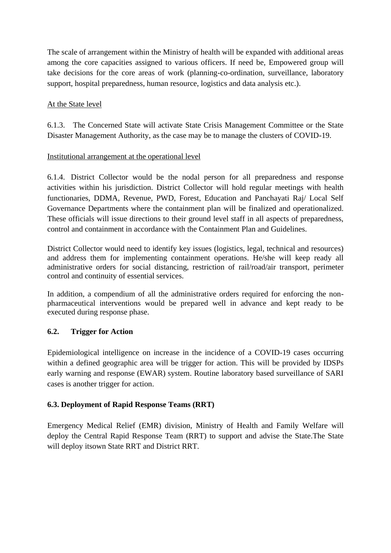The scale of arrangement within the Ministry of health will be expanded with additional areas among the core capacities assigned to various officers. If need be, Empowered group will take decisions for the core areas of work (planning-co-ordination, surveillance, laboratory support, hospital preparedness, human resource, logistics and data analysis etc.).

# At the State level

6.1.3. The Concerned State will activate State Crisis Management Committee or the State Disaster Management Authority, as the case may be to manage the clusters of COVID-19.

# Institutional arrangement at the operational level

6.1.4. District Collector would be the nodal person for all preparedness and response activities within his jurisdiction. District Collector will hold regular meetings with health functionaries, DDMA, Revenue, PWD, Forest, Education and Panchayati Raj/ Local Self Governance Departments where the containment plan will be finalized and operationalized. These officials will issue directions to their ground level staff in all aspects of preparedness, control and containment in accordance with the Containment Plan and Guidelines.

District Collector would need to identify key issues (logistics, legal, technical and resources) and address them for implementing containment operations. He/she will keep ready all administrative orders for social distancing, restriction of rail/road/air transport, perimeter control and continuity of essential services.

In addition, a compendium of all the administrative orders required for enforcing the nonpharmaceutical interventions would be prepared well in advance and kept ready to be executed during response phase.

# **6.2. Trigger for Action**

Epidemiological intelligence on increase in the incidence of a COVID-19 cases occurring within a defined geographic area will be trigger for action. This will be provided by IDSPs early warning and response (EWAR) system. Routine laboratory based surveillance of SARI cases is another trigger for action.

# **6.3. Deployment of Rapid Response Teams (RRT)**

Emergency Medical Relief (EMR) division, Ministry of Health and Family Welfare will deploy the Central Rapid Response Team (RRT) to support and advise the State.The State will deploy itsown State RRT and District RRT.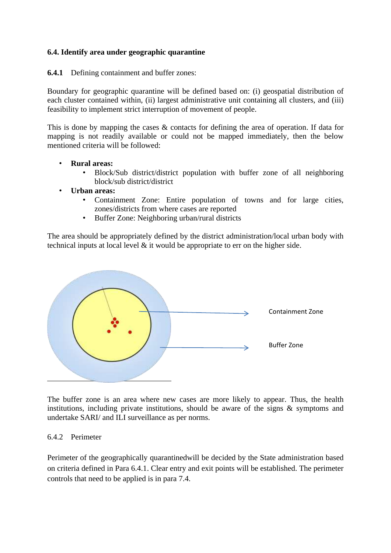#### **6.4. Identify area under geographic quarantine**

**6.4.1** Defining containment and buffer zones:

Boundary for geographic quarantine will be defined based on: (i) geospatial distribution of each cluster contained within, (ii) largest administrative unit containing all clusters, and (iii) feasibility to implement strict interruption of movement of people.

This is done by mapping the cases & contacts for defining the area of operation. If data for mapping is not readily available or could not be mapped immediately, then the below mentioned criteria will be followed:

- **Rural areas:** 
	- Block/Sub district/district population with buffer zone of all neighboring block/sub district/district
- **Urban areas:** 
	- Containment Zone: Entire population of towns and for large cities, zones/districts from where cases are reported
	- Buffer Zone: Neighboring urban/rural districts

The area should be appropriately defined by the district administration/local urban body with technical inputs at local level  $\&$  it would be appropriate to err on the higher side.



The buffer zone is an area where new cases are more likely to appear. Thus, the health institutions, including private institutions, should be aware of the signs  $\&$  symptoms and undertake SARI/ and ILI surveillance as per norms.

#### 6.4.2 Perimeter

Perimeter of the geographically quarantinedwill be decided by the State administration based on criteria defined in Para 6.4.1. Clear entry and exit points will be established. The perimeter controls that need to be applied is in para 7.4.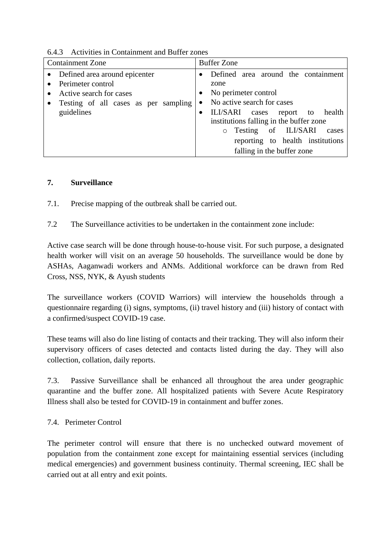| <b>Containment Zone</b>                                                                                                             | <b>Buffer Zone</b>                                                                                                                                                                                                                                                                                                                   |
|-------------------------------------------------------------------------------------------------------------------------------------|--------------------------------------------------------------------------------------------------------------------------------------------------------------------------------------------------------------------------------------------------------------------------------------------------------------------------------------|
| Defined area around epicenter<br>Perimeter control<br>Active search for cases<br>Testing of all cases as per sampling<br>guidelines | Defined area around the containment<br>zone<br>No perimeter control<br>$\bullet$<br>No active search for cases<br>٠<br>ILI/SARI<br>to health<br>report<br>cases<br>$\bullet$<br>institutions falling in the buffer zone<br>Testing of ILI/SARI<br>cases<br>$\circ$<br>reporting to health institutions<br>falling in the buffer zone |

# 6.4.3 Activities in Containment and Buffer zones

#### **7. Surveillance**

- 7.1. Precise mapping of the outbreak shall be carried out.
- 7.2 The Surveillance activities to be undertaken in the containment zone include:

Active case search will be done through house-to-house visit. For such purpose, a designated health worker will visit on an average 50 households. The surveillance would be done by ASHAs, Aaganwadi workers and ANMs. Additional workforce can be drawn from Red Cross, NSS, NYK, & Ayush students

The surveillance workers (COVID Warriors) will interview the households through a questionnaire regarding (i) signs, symptoms, (ii) travel history and (iii) history of contact with a confirmed/suspect COVID-19 case.

These teams will also do line listing of contacts and their tracking. They will also inform their supervisory officers of cases detected and contacts listed during the day. They will also collection, collation, daily reports.

7.3. Passive Surveillance shall be enhanced all throughout the area under geographic quarantine and the buffer zone. All hospitalized patients with Severe Acute Respiratory Illness shall also be tested for COVID-19 in containment and buffer zones.

#### 7.4. Perimeter Control

The perimeter control will ensure that there is no unchecked outward movement of population from the containment zone except for maintaining essential services (including medical emergencies) and government business continuity. Thermal screening, IEC shall be carried out at all entry and exit points.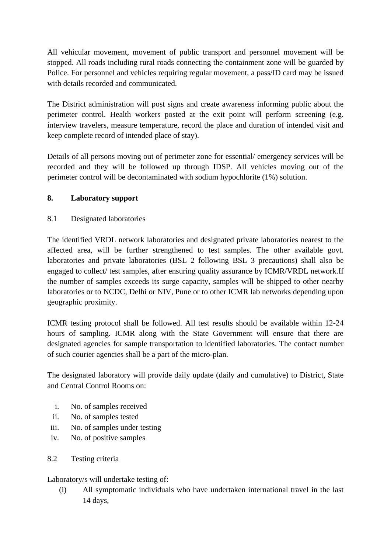All vehicular movement, movement of public transport and personnel movement will be stopped. All roads including rural roads connecting the containment zone will be guarded by Police. For personnel and vehicles requiring regular movement, a pass/ID card may be issued with details recorded and communicated.

The District administration will post signs and create awareness informing public about the perimeter control. Health workers posted at the exit point will perform screening (e.g. interview travelers, measure temperature, record the place and duration of intended visit and keep complete record of intended place of stay).

Details of all persons moving out of perimeter zone for essential/ emergency services will be recorded and they will be followed up through IDSP. All vehicles moving out of the perimeter control will be decontaminated with sodium hypochlorite (1%) solution.

# **8. Laboratory support**

8.1 Designated laboratories

The identified VRDL network laboratories and designated private laboratories nearest to the affected area, will be further strengthened to test samples. The other available govt. laboratories and private laboratories (BSL 2 following BSL 3 precautions) shall also be engaged to collect/ test samples, after ensuring quality assurance by ICMR/VRDL network.If the number of samples exceeds its surge capacity, samples will be shipped to other nearby laboratories or to NCDC, Delhi or NIV, Pune or to other ICMR lab networks depending upon geographic proximity.

ICMR testing protocol shall be followed. All test results should be available within 12-24 hours of sampling. ICMR along with the State Government will ensure that there are designated agencies for sample transportation to identified laboratories. The contact number of such courier agencies shall be a part of the micro-plan.

The designated laboratory will provide daily update (daily and cumulative) to District, State and Central Control Rooms on:

- i. No. of samples received
- ii. No. of samples tested
- iii. No. of samples under testing
- iv. No. of positive samples
- 8.2 Testing criteria

Laboratory/s will undertake testing of:

(i) All symptomatic individuals who have undertaken international travel in the last 14 days,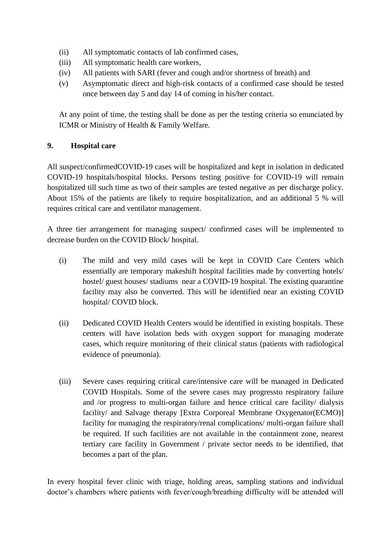- (ii) All symptomatic contacts of lab confirmed cases,
- (iii) All symptomatic health care workers,
- (iv) All patients with SARI (fever and cough and/or shortness of breath) and
- (v) Asymptomatic direct and high-risk contacts of a confirmed case should be tested once between day 5 and day 14 of coming in his/her contact.

At any point of time, the testing shall be done as per the testing criteria so enunciated by ICMR or Ministry of Health & Family Welfare.

# **9. Hospital care**

All suspect/confirmedCOVID-19 cases will be hospitalized and kept in isolation in dedicated COVID-19 hospitals/hospital blocks. Persons testing positive for COVID-19 will remain hospitalized till such time as two of their samples are tested negative as per discharge policy. About 15% of the patients are likely to require hospitalization, and an additional 5 % will requires critical care and ventilator management.

A three tier arrangement for managing suspect/ confirmed cases will be implemented to decrease burden on the COVID Block/ hospital.

- (i) The mild and very mild cases will be kept in COVID Care Centers which essentially are temporary makeshift hospital facilities made by converting hotels/ hostel/ guest houses/ stadiums near a COVID-19 hospital. The existing quarantine facility may also be converted. This will be identified near an existing COVID hospital/ COVID block.
- (ii) Dedicated COVID Health Centers would be identified in existing hospitals. These centers will have isolation beds with oxygen support for managing moderate cases, which require monitoring of their clinical status (patients with radiological evidence of pneumonia).
- (iii) Severe cases requiring critical care/intensive care will be managed in Dedicated COVID Hospitals. Some of the severe cases may progressto respiratory failure and /or progress to multi-organ failure and hence critical care facility/ dialysis facility/ and Salvage therapy [Extra Corporeal Membrane Oxygenator(ECMO)] facility for managing the respiratory/renal complications/ multi-organ failure shall be required. If such facilities are not available in the containment zone, nearest tertiary care facility in Government / private sector needs to be identified, that becomes a part of the plan.

In every hospital fever clinic with triage, holding areas, sampling stations and individual doctor's chambers where patients with fever/cough/breathing difficulty will be attended will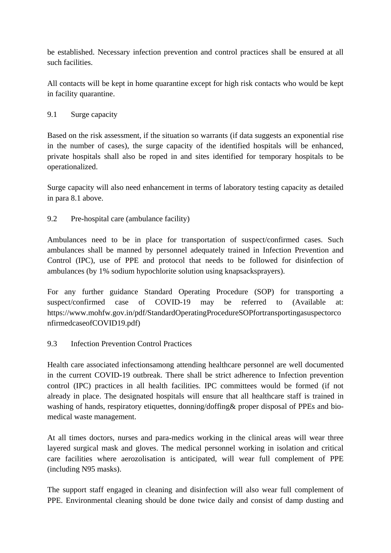be established. Necessary infection prevention and control practices shall be ensured at all such facilities.

All contacts will be kept in home quarantine except for high risk contacts who would be kept in facility quarantine.

# 9.1 Surge capacity

Based on the risk assessment, if the situation so warrants (if data suggests an exponential rise in the number of cases), the surge capacity of the identified hospitals will be enhanced, private hospitals shall also be roped in and sites identified for temporary hospitals to be operationalized.

Surge capacity will also need enhancement in terms of laboratory testing capacity as detailed in para 8.1 above.

# 9.2 Pre-hospital care (ambulance facility)

Ambulances need to be in place for transportation of suspect/confirmed cases. Such ambulances shall be manned by personnel adequately trained in Infection Prevention and Control (IPC), use of PPE and protocol that needs to be followed for disinfection of ambulances (by 1% sodium hypochlorite solution using knapsacksprayers).

For any further guidance Standard Operating Procedure (SOP) for transporting a suspect/confirmed case of COVID-19 may be referred to (Available at: https://www.mohfw.gov.in/pdf/StandardOperatingProcedureSOPfortransportingasuspectorco nfirmedcaseofCOVID19.pdf)

#### 9.3 Infection Prevention Control Practices

Health care associated infectionsamong attending healthcare personnel are well documented in the current COVID-19 outbreak. There shall be strict adherence to Infection prevention control (IPC) practices in all health facilities. IPC committees would be formed (if not already in place. The designated hospitals will ensure that all healthcare staff is trained in washing of hands, respiratory etiquettes, donning/doffing& proper disposal of PPEs and biomedical waste management.

At all times doctors, nurses and para-medics working in the clinical areas will wear three layered surgical mask and gloves. The medical personnel working in isolation and critical care facilities where aerozolisation is anticipated, will wear full complement of PPE (including N95 masks).

The support staff engaged in cleaning and disinfection will also wear full complement of PPE. Environmental cleaning should be done twice daily and consist of damp dusting and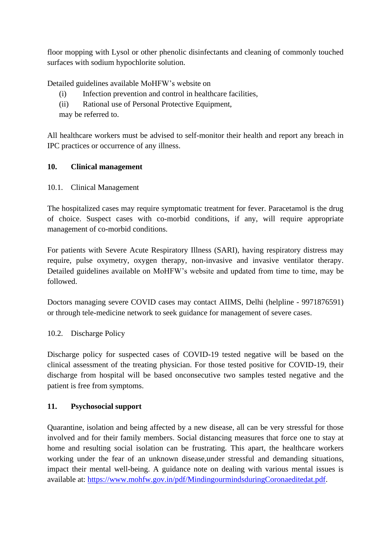floor mopping with Lysol or other phenolic disinfectants and cleaning of commonly touched surfaces with sodium hypochlorite solution.

Detailed guidelines available MoHFW's website on

- (i) Infection prevention and control in healthcare facilities,
- (ii) Rational use of Personal Protective Equipment,
- may be referred to.

All healthcare workers must be advised to self-monitor their health and report any breach in IPC practices or occurrence of any illness.

#### **10. Clinical management**

10.1. Clinical Management

The hospitalized cases may require symptomatic treatment for fever. Paracetamol is the drug of choice. Suspect cases with co-morbid conditions, if any, will require appropriate management of co-morbid conditions.

For patients with Severe Acute Respiratory Illness (SARI), having respiratory distress may require, pulse oxymetry, oxygen therapy, non-invasive and invasive ventilator therapy. Detailed guidelines available on MoHFW's website and updated from time to time, may be followed.

Doctors managing severe COVID cases may contact AIIMS, Delhi (helpline - 9971876591) or through tele-medicine network to seek guidance for management of severe cases.

#### 10.2. Discharge Policy

Discharge policy for suspected cases of COVID-19 tested negative will be based on the clinical assessment of the treating physician. For those tested positive for COVID-19, their discharge from hospital will be based onconsecutive two samples tested negative and the patient is free from symptoms.

#### **11. Psychosocial support**

Quarantine, isolation and being affected by a new disease, all can be very stressful for those involved and for their family members. Social distancing measures that force one to stay at home and resulting social isolation can be frustrating. This apart, the healthcare workers working under the fear of an unknown disease,under stressful and demanding situations, impact their mental well-being. A guidance note on dealing with various mental issues is available at: [https://www.mohfw.gov.in/pdf/MindingourmindsduringCoronaeditedat.pdf.](https://www.mohfw.gov.in/pdf/MindingourmindsduringCoronaeditedat.pdf)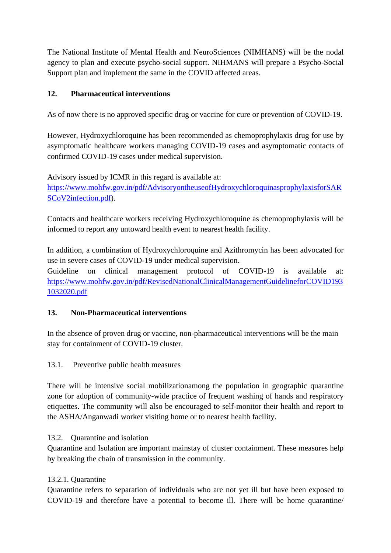The National Institute of Mental Health and NeuroSciences (NIMHANS) will be the nodal agency to plan and execute psycho-social support. NIHMANS will prepare a Psycho-Social Support plan and implement the same in the COVID affected areas.

# **12. Pharmaceutical interventions**

As of now there is no approved specific drug or vaccine for cure or prevention of COVID-19.

However, Hydroxychloroquine has been recommended as chemoprophylaxis drug for use by asymptomatic healthcare workers managing COVID-19 cases and asymptomatic contacts of confirmed COVID-19 cases under medical supervision.

Advisory issued by ICMR in this regard is available at: [https://www.mohfw.gov.in/pdf/AdvisoryontheuseofHydroxychloroquinasprophylaxisforSAR](https://www.mohfw.gov.in/pdf/AdvisoryontheuseofHydroxychloroquinasprophylaxisforSARSCoV2infection.pdf) [SCoV2infection.pdf\)](https://www.mohfw.gov.in/pdf/AdvisoryontheuseofHydroxychloroquinasprophylaxisforSARSCoV2infection.pdf).

Contacts and healthcare workers receiving Hydroxychloroquine as chemoprophylaxis will be informed to report any untoward health event to nearest health facility.

In addition, a combination of Hydroxychloroquine and Azithromycin has been advocated for use in severe cases of COVID-19 under medical supervision.

Guideline on clinical management protocol of COVID-19 is available at: [https://www.mohfw.gov.in/pdf/RevisedNationalClinicalManagementGuidelineforCOVID193](https://www.mohfw.gov.in/pdf/RevisedNationalClinicalManagementGuidelineforCOVID1931032020.pdf) [1032020.pdf](https://www.mohfw.gov.in/pdf/RevisedNationalClinicalManagementGuidelineforCOVID1931032020.pdf)

# **13. Non-Pharmaceutical interventions**

In the absence of proven drug or vaccine, non-pharmaceutical interventions will be the main stay for containment of COVID-19 cluster.

13.1. Preventive public health measures

There will be intensive social mobilizationamong the population in geographic quarantine zone for adoption of community-wide practice of frequent washing of hands and respiratory etiquettes. The community will also be encouraged to self-monitor their health and report to the ASHA/Anganwadi worker visiting home or to nearest health facility.

13.2. Quarantine and isolation

Quarantine and Isolation are important mainstay of cluster containment. These measures help by breaking the chain of transmission in the community.

# 13.2.1. Quarantine

Quarantine refers to separation of individuals who are not yet ill but have been exposed to COVID-19 and therefore have a potential to become ill. There will be home quarantine/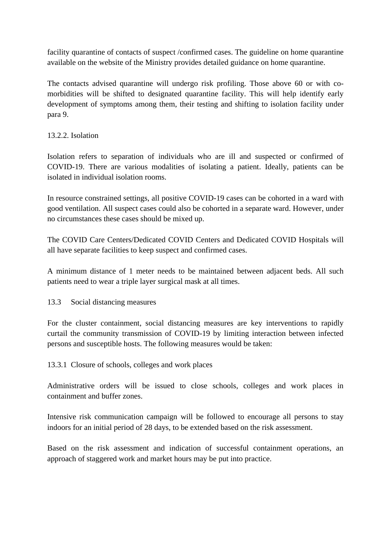facility quarantine of contacts of suspect /confirmed cases. The guideline on home quarantine available on the website of the Ministry provides detailed guidance on home quarantine.

The contacts advised quarantine will undergo risk profiling. Those above 60 or with comorbidities will be shifted to designated quarantine facility. This will help identify early development of symptoms among them, their testing and shifting to isolation facility under para 9.

# 13.2.2. Isolation

Isolation refers to separation of individuals who are ill and suspected or confirmed of COVID-19. There are various modalities of isolating a patient. Ideally, patients can be isolated in individual isolation rooms.

In resource constrained settings, all positive COVID-19 cases can be cohorted in a ward with good ventilation. All suspect cases could also be cohorted in a separate ward. However, under no circumstances these cases should be mixed up.

The COVID Care Centers/Dedicated COVID Centers and Dedicated COVID Hospitals will all have separate facilities to keep suspect and confirmed cases.

A minimum distance of 1 meter needs to be maintained between adjacent beds. All such patients need to wear a triple layer surgical mask at all times.

13.3 Social distancing measures

For the cluster containment, social distancing measures are key interventions to rapidly curtail the community transmission of COVID-19 by limiting interaction between infected persons and susceptible hosts. The following measures would be taken:

13.3.1 Closure of schools, colleges and work places

Administrative orders will be issued to close schools, colleges and work places in containment and buffer zones.

Intensive risk communication campaign will be followed to encourage all persons to stay indoors for an initial period of 28 days, to be extended based on the risk assessment.

Based on the risk assessment and indication of successful containment operations, an approach of staggered work and market hours may be put into practice.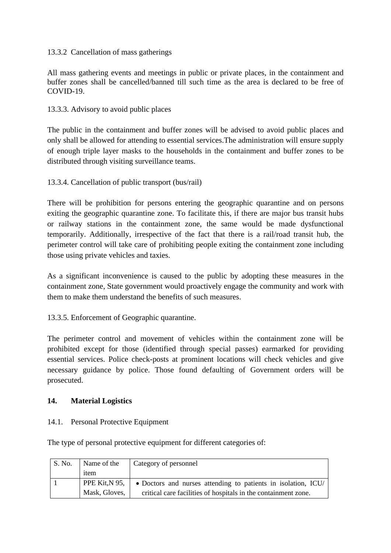#### 13.3.2 Cancellation of mass gatherings

All mass gathering events and meetings in public or private places, in the containment and buffer zones shall be cancelled/banned till such time as the area is declared to be free of COVID-19.

#### 13.3.3. Advisory to avoid public places

The public in the containment and buffer zones will be advised to avoid public places and only shall be allowed for attending to essential services.The administration will ensure supply of enough triple layer masks to the households in the containment and buffer zones to be distributed through visiting surveillance teams.

#### 13.3.4. Cancellation of public transport (bus/rail)

There will be prohibition for persons entering the geographic quarantine and on persons exiting the geographic quarantine zone. To facilitate this, if there are major bus transit hubs or railway stations in the containment zone, the same would be made dysfunctional temporarily. Additionally, irrespective of the fact that there is a rail/road transit hub, the perimeter control will take care of prohibiting people exiting the containment zone including those using private vehicles and taxies.

As a significant inconvenience is caused to the public by adopting these measures in the containment zone, State government would proactively engage the community and work with them to make them understand the benefits of such measures.

13.3.5. Enforcement of Geographic quarantine.

The perimeter control and movement of vehicles within the containment zone will be prohibited except for those (identified through special passes) earmarked for providing essential services. Police check-posts at prominent locations will check vehicles and give necessary guidance by police. Those found defaulting of Government orders will be prosecuted.

#### **14. Material Logistics**

#### 14.1. Personal Protective Equipment

The type of personal protective equipment for different categories of:

| $\mathsf{S}$ . No. | Name of the    | Category of personnel                                          |
|--------------------|----------------|----------------------------------------------------------------|
|                    | item           |                                                                |
|                    | PPE Kit, N 95, | • Doctors and nurses attending to patients in isolation, ICU/  |
|                    | Mask, Gloves,  | critical care facilities of hospitals in the containment zone. |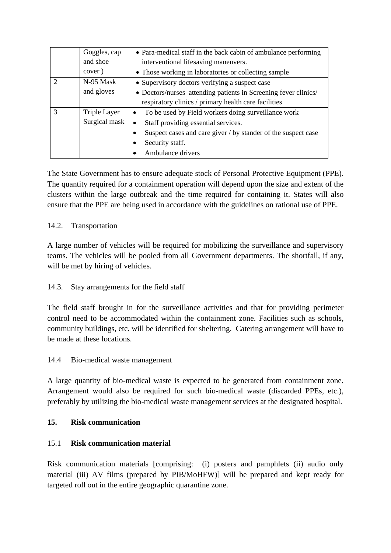|               | Goggles, cap<br>and shoe | • Para-medical staff in the back cabin of ambulance performing   |
|---------------|--------------------------|------------------------------------------------------------------|
|               |                          | interventional lifesaving maneuvers.                             |
|               | cover)                   | • Those working in laboratories or collecting sample             |
| $\mathcal{D}$ | N-95 Mask                | • Supervisory doctors verifying a suspect case                   |
|               | and gloves               | • Doctors/nurses attending patients in Screening fever clinics/  |
|               |                          | respiratory clinics / primary health care facilities             |
| $\mathcal{R}$ | Triple Layer             | To be used by Field workers doing surveillance work<br>$\bullet$ |
|               | Surgical mask            | Staff providing essential services.                              |
|               |                          | Suspect cases and care giver / by stander of the suspect case    |
|               |                          | Security staff.                                                  |
|               |                          | Ambulance drivers                                                |

The State Government has to ensure adequate stock of Personal Protective Equipment (PPE). The quantity required for a containment operation will depend upon the size and extent of the clusters within the large outbreak and the time required for containing it. States will also ensure that the PPE are being used in accordance with the guidelines on rational use of PPE.

# 14.2. Transportation

A large number of vehicles will be required for mobilizing the surveillance and supervisory teams. The vehicles will be pooled from all Government departments. The shortfall, if any, will be met by hiring of vehicles.

#### 14.3. Stay arrangements for the field staff

The field staff brought in for the surveillance activities and that for providing perimeter control need to be accommodated within the containment zone. Facilities such as schools, community buildings, etc. will be identified for sheltering. Catering arrangement will have to be made at these locations.

#### 14.4 Bio-medical waste management

A large quantity of bio-medical waste is expected to be generated from containment zone. Arrangement would also be required for such bio-medical waste (discarded PPEs, etc.), preferably by utilizing the bio-medical waste management services at the designated hospital.

#### **15. Risk communication**

# 15.1 **Risk communication material**

Risk communication materials [comprising: (i) posters and pamphlets (ii) audio only material (iii) AV films (prepared by PIB/MoHFW)] will be prepared and kept ready for targeted roll out in the entire geographic quarantine zone.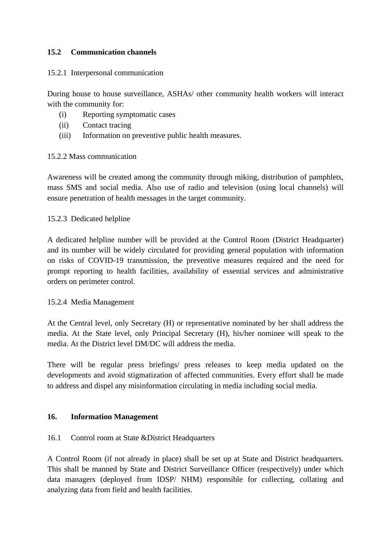# **15.2 Communication channels**

#### 15.2.1 Interpersonal communication

During house to house surveillance, ASHAs/ other community health workers will interact with the community for:

- (i) Reporting symptomatic cases
- (ii) Contact tracing
- (iii) Information on preventive public health measures.

#### 15.2.2 Mass communication

Awareness will be created among the community through miking, distribution of pamphlets, mass SMS and social media. Also use of radio and television (using local channels) will ensure penetration of health messages in the target community.

#### 15.2.3 Dedicated helpline

A dedicated helpline number will be provided at the Control Room (District Headquarter) and its number will be widely circulated for providing general population with information on risks of COVID-19 transmission, the preventive measures required and the need for prompt reporting to health facilities, availability of essential services and administrative orders on perimeter control.

#### 15.2.4 Media Management

At the Central level, only Secretary (H) or representative nominated by her shall address the media. At the State level, only Principal Secretary (H), his/her nominee will speak to the media. At the District level DM/DC will address the media.

There will be regular press briefings/ press releases to keep media updated on the developments and avoid stigmatization of affected communities. Every effort shall be made to address and dispel any misinformation circulating in media including social media.

#### **16. Information Management**

#### 16.1 Control room at State &District Headquarters

A Control Room (if not already in place) shall be set up at State and District headquarters. This shall be manned by State and District Surveillance Officer (respectively) under which data managers (deployed from IDSP/ NHM) responsible for collecting, collating and analyzing data from field and health facilities.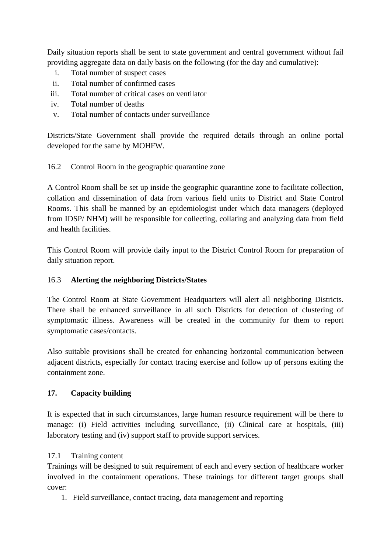Daily situation reports shall be sent to state government and central government without fail providing aggregate data on daily basis on the following (for the day and cumulative):

- i. Total number of suspect cases
- ii. Total number of confirmed cases
- iii. Total number of critical cases on ventilator
- iv. Total number of deaths
- v. Total number of contacts under surveillance

Districts/State Government shall provide the required details through an online portal developed for the same by MOHFW.

#### 16.2 Control Room in the geographic quarantine zone

A Control Room shall be set up inside the geographic quarantine zone to facilitate collection, collation and dissemination of data from various field units to District and State Control Rooms. This shall be manned by an epidemiologist under which data managers (deployed from IDSP/ NHM) will be responsible for collecting, collating and analyzing data from field and health facilities.

This Control Room will provide daily input to the District Control Room for preparation of daily situation report.

# 16.3 **Alerting the neighboring Districts/States**

The Control Room at State Government Headquarters will alert all neighboring Districts. There shall be enhanced surveillance in all such Districts for detection of clustering of symptomatic illness. Awareness will be created in the community for them to report symptomatic cases/contacts.

Also suitable provisions shall be created for enhancing horizontal communication between adjacent districts, especially for contact tracing exercise and follow up of persons exiting the containment zone.

# **17. Capacity building**

It is expected that in such circumstances, large human resource requirement will be there to manage: (i) Field activities including surveillance, (ii) Clinical care at hospitals, (iii) laboratory testing and (iv) support staff to provide support services.

#### 17.1 Training content

Trainings will be designed to suit requirement of each and every section of healthcare worker involved in the containment operations. These trainings for different target groups shall cover:

1. Field surveillance, contact tracing, data management and reporting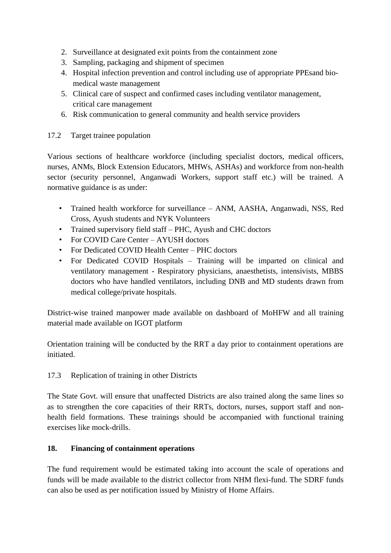- 2. Surveillance at designated exit points from the containment zone
- 3. Sampling, packaging and shipment of specimen
- 4. Hospital infection prevention and control including use of appropriate PPEsand biomedical waste management
- 5. Clinical care of suspect and confirmed cases including ventilator management, critical care management
- 6. Risk communication to general community and health service providers

# 17.2 Target trainee population

Various sections of healthcare workforce (including specialist doctors, medical officers, nurses, ANMs, Block Extension Educators, MHWs, ASHAs) and workforce from non-health sector (security personnel, Anganwadi Workers, support staff etc.) will be trained. A normative guidance is as under:

- Trained health workforce for surveillance ANM, AASHA, Anganwadi, NSS, Red Cross, Ayush students and NYK Volunteers
- Trained supervisory field staff PHC, Ayush and CHC doctors
- For COVID Care Center AYUSH doctors
- For Dedicated COVID Health Center PHC doctors
- For Dedicated COVID Hospitals Training will be imparted on clinical and ventilatory management - Respiratory physicians, anaesthetists, intensivists, MBBS doctors who have handled ventilators, including DNB and MD students drawn from medical college/private hospitals.

District-wise trained manpower made available on dashboard of MoHFW and all training material made available on IGOT platform

Orientation training will be conducted by the RRT a day prior to containment operations are initiated.

17.3 Replication of training in other Districts

The State Govt. will ensure that unaffected Districts are also trained along the same lines so as to strengthen the core capacities of their RRTs, doctors, nurses, support staff and nonhealth field formations. These trainings should be accompanied with functional training exercises like mock-drills.

# **18. Financing of containment operations**

The fund requirement would be estimated taking into account the scale of operations and funds will be made available to the district collector from NHM flexi-fund. The SDRF funds can also be used as per notification issued by Ministry of Home Affairs.